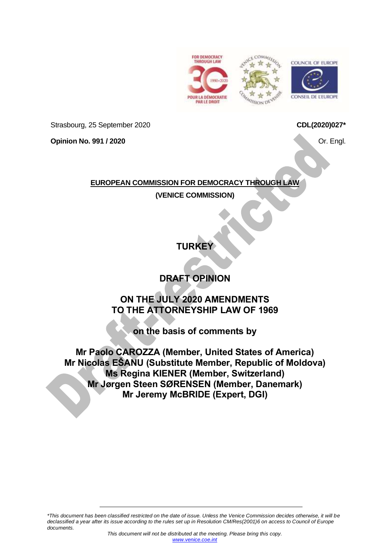





Strasbourg, 25 September 2020

**Opinion No. 991 / 2020**

**CDL(2020)027\***

Or. Engl.

# **EUROPEAN COMMISSION FOR DEMOCRACY THROUGH LAW**

**(VENICE COMMISSION)**

**TURKEY**

# **DRAFT OPINION**

# **ON THE JULY 2020 AMENDMENTS TO THE ATTORNEYSHIP LAW OF 1969**

**on the basis of comments by**

**Mr Paolo CAROZZA (Member, United States of America) Mr Nicolas EŠANU (Substitute Member, Republic of Moldova) Ms Regina KIENER (Member, Switzerland) Mr Jørgen Steen SØRENSEN (Member, Danemark) Mr Jeremy McBRIDE (Expert, DGI)**

*\*This document has been classified restricted on the date of issue. Unless the Venice Commission decides otherwise, it will be declassified a year after its issue according to the rules set up in Resolution CM/Res(2001)6 on access to Council of Europe documents.*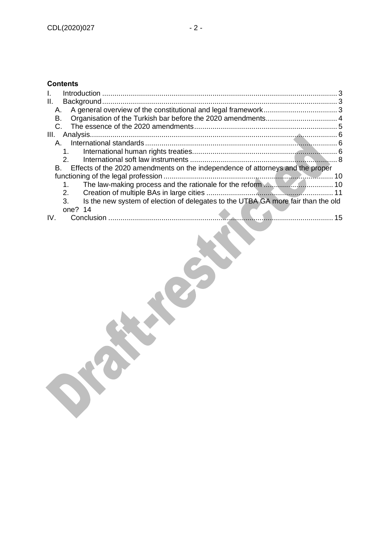# **Contents**

| Ш.                                                                                     |    |
|----------------------------------------------------------------------------------------|----|
| А.                                                                                     |    |
| В.                                                                                     |    |
|                                                                                        |    |
| III.                                                                                   |    |
| А.                                                                                     |    |
| $1_{-}$                                                                                |    |
|                                                                                        |    |
| B. Effects of the 2020 amendments on the independence of attorneys and the proper      |    |
|                                                                                        |    |
| 1.                                                                                     |    |
| $2_{-}$                                                                                |    |
| Is the new system of election of delegates to the UTBA GA more fair than the old<br>3. |    |
| one? $14$                                                                              |    |
| IV.                                                                                    | 15 |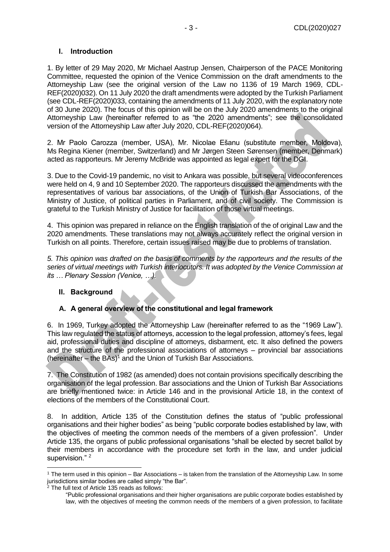#### <span id="page-2-0"></span>**I. Introduction**

1. By letter of 29 May 2020, Mr Michael Aastrup Jensen, Chairperson of the PACE Monitoring Committee, requested the opinion of the Venice Commission on the draft amendments to the Attorneyship Law (see the original version of the Law no 1136 of 19 March 1969, CDL-REF(2020)032). On 11 July 2020 the draft amendments were adopted by the Turkish Parliament (see CDL-REF(2020)033, containing the amendments of 11 July 2020, with the explanatory note of 30 June 2020). The focus of this opinion will be on the July 2020 amendments to the original Attorneyship Law (hereinafter referred to as "the 2020 amendments"; see the consolidated version of the Attorneyship Law after July 2020, CDL-REF(2020)064).

2. Mr Paolo Carozza (member, USA), Mr. Nicolae Ešanu (substitute member, Moldova), Ms Regina Kiener (member, Switzerland) and Mr Jørgen Steen Sørensen (member, Denmark) acted as rapporteurs. Mr Jeremy McBride was appointed as legal expert for the DGI.

3. Due to the Covid-19 pandemic, no visit to Ankara was possible, but several videoconferences were held on 4, 9 and 10 September 2020. The rapporteurs discussed the amendments with the representatives of various bar associations, of the Union of Turkish Bar Associations, of the Ministry of Justice, of political parties in Parliament, and of civil society. The Commission is grateful to the Turkish Ministry of Justice for facilitation of those virtual meetings.

4. This opinion was prepared in reliance on the English translation of the of original Law and the 2020 amendments. These translations may not always accurately reflect the original version in Turkish on all points. Therefore, certain issues raised may be due to problems of translation.

*5. This opinion was drafted on the basis of comments by the rapporteurs and the results of the series of virtual meetings with Turkish interlocutors. It was adopted by the Venice Commission at its … Plenary Session (Venice, …).*

#### <span id="page-2-1"></span>**II. Background**

#### <span id="page-2-2"></span>**A. A general overview of the constitutional and legal framework**

6. In 1969, Turkey adopted the Attorneyship Law (hereinafter referred to as the "1969 Law"). This law regulated the status of attorneys, accession to the legal profession, attorney's fees, legal aid, professional duties and discipline of attorneys, disbarment, etc. It also defined the powers and the structure of the professional associations of attorneys – provincial bar associations (hereinafter – the  $BAs$ )<sup>1</sup> and the Union of Turkish Bar Associations.

7. The Constitution of 1982 (as amended) does not contain provisions specifically describing the organisation of the legal profession. Bar associations and the Union of Turkish Bar Associations are briefly mentioned twice: in Article 146 and in the provisional Article 18, in the context of elections of the members of the Constitutional Court.

8. In addition, Article 135 of the Constitution defines the status of "public professional organisations and their higher bodies" as being "public corporate bodies established by law, with the objectives of meeting the common needs of the members of a given profession". Under Article 135, the organs of public professional organisations "shall be elected by secret ballot by their members in accordance with the procedure set forth in the law, and under judicial supervision."<sup>2</sup>

<sup>1</sup> The term used in this opinion – Bar Associations – is taken from the translation of the Attorneyship Law. In some jurisdictions similar bodies are called simply "the Bar".

 $2$  The full text of Article 135 reads as follows:

<sup>&</sup>quot;Public professional organisations and their higher organisations are public corporate bodies established by law, with the objectives of meeting the common needs of the members of a given profession, to facilitate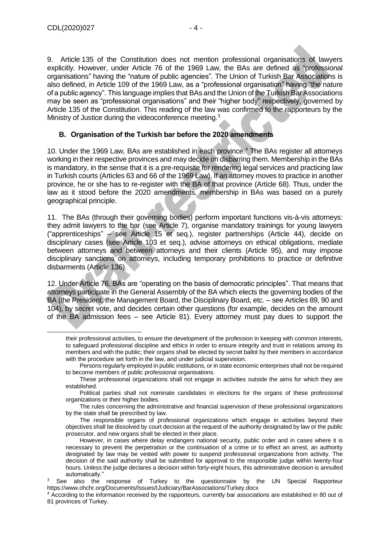9. Article 135 of the Constitution does not mention professional organisations of lawyers explicitly. However, under Article 76 of the 1969 Law, the BAs are defined as "professional organisations" having the "nature of public agencies". The Union of Turkish Bar Associations is also defined, in Article 109 of the 1969 Law, as a "professional organisation" having "the nature of a public agency". This language implies that BAs and the Union of the Turkish Bar Associations may be seen as "professional organisations" and their "higher body" respectively, governed by Article 135 of the Constitution. This reading of the law was confirmed to the rapporteurs by the Ministry of Justice during the videoconference meeting.<sup>3</sup>

#### <span id="page-3-0"></span>**B. Organisation of the Turkish bar before the 2020 amendments**

10. Under the 1969 Law, BAs are established in each province.<sup>4</sup> The BAs register all attorneys working in their respective provinces and may decide on disbarring them. Membership in the BAs is mandatory, in the sense that it is a pre-requisite for rendering legal services and practicing law in Turkish courts (Articles 63 and 66 of the 1969 Law). If an attorney moves to practice in another province, he or she has to re-register with the BA of that province (Article 68). Thus, under the law as it stood before the 2020 amendments, membership in BAs was based on a purely geographical principle.

11. The BAs (through their governing bodies) perform important functions vis-à-vis attorneys: they admit lawyers to the bar (see Article 7), organise mandatory trainings for young lawyers ("apprenticeships" – see Article 15 et seq.), register partnerships (Article 44), decide on disciplinary cases (see Article 103 et seq.), advise attorneys on ethical obligations, mediate between attorneys and between attorneys and their clients (Article 95), and may impose disciplinary sanctions on attorneys, including temporary prohibitions to practice or definitive disbarments (Article 136).

12. Under Article 76, BAs are "operating on the basis of democratic principles". That means that attorneys participate in the General Assembly of the BA which elects the governing bodies of the BA (the President, the Management Board, the Disciplinary Board, etc. – see Articles 89, 90 and 104), by secret vote, and decides certain other questions (for example, decides on the amount of the BA admission fees – see Article 81). Every attorney must pay dues to support the

their professional activities, to ensure the development of the profession in keeping with common interests, to safeguard professional discipline and ethics in order to ensure integrity and trust in relations among its members and with the public; their organs shall be elected by secret ballot by their members in accordance with the procedure set forth in the law, and under judicial supervision.

Persons regularly employed in public institutions, or in state economic enterprises shall not be required to become members of public professional organisations.

These professional organizations shall not engage in activities outside the aims for which they are established.

Political parties shall not nominate candidates in elections for the organs of these professional organizations or their higher bodies.

The rules concerning the administrative and financial supervision of these professional organizations by the state shall be prescribed by law.

The responsible organs of professional organizations which engage in activities beyond their objectives shall be dissolved by court decision at the request of the authority designated by law or the public prosecutor, and new organs shall be elected in their place.

However, in cases where delay endangers national security, public order and in cases where it is necessary to prevent the perpetration or the continuation of a crime or to effect an arrest, an authority designated by law may be vested with power to suspend professional organizations from activity. The decision of the said authority shall be submitted for approval to the responsible judge within twenty-four hours. Unless the judge declares a decision within forty-eight hours, this administrative decision is annulled automatically."

<sup>&</sup>lt;sup>3</sup> See also the response of Turkey to the questionnaire by the UN Special Rapporteur https://www.ohchr.org/Documents/Issues/IJudiciary/BarAssociations/Turkey.docx

<sup>4</sup> According to the information received by the rapporteurs, currently bar associations are established in 80 out of 81 provinces of Turkey.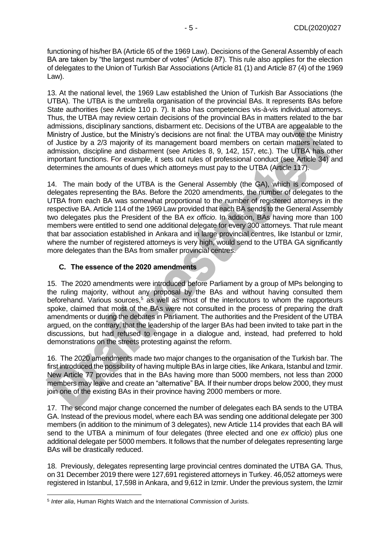functioning of his/her BA (Article 65 of the 1969 Law). Decisions of the General Assembly of each BA are taken by "the largest number of votes" (Article 87). This rule also applies for the election of delegates to the Union of Turkish Bar Associations (Article 81 (1) and Article 87 (4) of the 1969 Law).

13. At the national level, the 1969 Law established the Union of Turkish Bar Associations (the UTBA). The UTBA is the umbrella organisation of the provincial BAs. It represents BAs before State authorities (see Article 110 p. 7). It also has competencies vis-à-vis individual attorneys. Thus, the UTBA may review certain decisions of the provincial BAs in matters related to the bar admissions, disciplinary sanctions, disbarment etc. Decisions of the UTBA are appealable to the Ministry of Justice, but the Ministry's decisions are not final: the UTBA may outvote the Ministry of Justice by a 2/3 majority of its management board members on certain matters related to admission, discipline and disbarment (see Articles 8, 9, 142, 157, etc.). The UTBA has other important functions. For example, it sets out rules of professional conduct (see Article 34) and determines the amounts of dues which attorneys must pay to the UTBA (Article 117).

14. The main body of the UTBA is the General Assembly (the GA), which is composed of delegates representing the BAs. Before the 2020 amendments, the number of delegates to the UTBA from each BA was somewhat proportional to the number of registered attorneys in the respective BA. Article 114 of the 1969 Law provided that each BA sends to the General Assembly two delegates plus the President of the BA *ex officio*. In addition, BAs having more than 100 members were entitled to send one additional delegate for every 300 attorneys. That rule meant that bar association established in Ankara and in large provincial centres, like Istanbul or Izmir, where the number of registered attorneys is very high, would send to the UTBA GA significantly more delegates than the BAs from smaller provincial centres.

#### <span id="page-4-0"></span>**C. The essence of the 2020 amendments**

15. The 2020 amendments were introduced before Parliament by a group of MPs belonging to the ruling majority, without any proposal by the BAs and without having consulted them beforehand. Various sources, $5$  as well as most of the interlocutors to whom the rapporteurs spoke, claimed that most of the BAs were not consulted in the process of preparing the draft amendments or during the debates in Parliament. The authorities and the President of the UTBA argued, on the contrary, that the leadership of the larger BAs had been invited to take part in the discussions, but had refused to engage in a dialogue and, instead, had preferred to hold demonstrations on the streets protesting against the reform.

16. The 2020 amendments made two major changes to the organisation of the Turkish bar. The first introduced the possibility of having multiple BAs in large cities, like Ankara, Istanbul and Izmir. New Article 77 provides that in the BAs having more than 5000 members, not less than 2000 members may leave and create an "alternative" BA. If their number drops below 2000, they must join one of the existing BAs in their province having 2000 members or more.

17. The second major change concerned the number of delegates each BA sends to the UTBA GA. Instead of the previous model, where each BA was sending one additional delegate per 300 members (in addition to the minimum of 3 delegates), new Article 114 provides that each BA will send to the UTBA a minimum of four delegates (three elected and one *ex officio*) plus one additional delegate per 5000 members. It follows that the number of delegates representing large BAs will be drastically reduced.

18. Previously, delegates representing large provincial centres dominated the UTBA GA. Thus, on 31 December 2019 there were 127,691 registered attorneys in Turkey. 46,052 attorneys were registered in Istanbul, 17,598 in Ankara, and 9,612 in Izmir. Under the previous system, the Izmir

<sup>5</sup> *Inter alia*, Human Rights Watch and the International Commission of Jurists.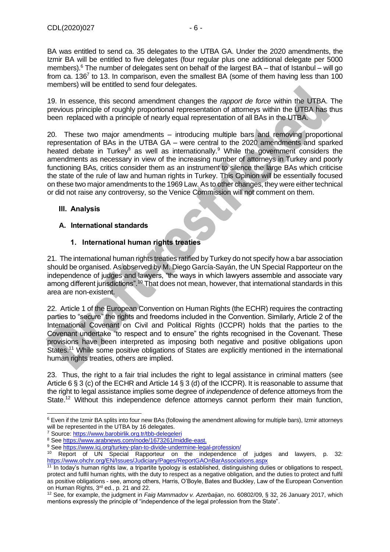BA was entitled to send ca. 35 delegates to the UTBA GA. Under the 2020 amendments, the Izmir BA will be entitled to five delegates (four regular plus one additional delegate per 5000 members). $6$  The number of delegates sent on behalf of the largest BA – that of Istanbul – will go from ca. 136<sup>7</sup> to 13. In comparison, even the smallest BA (some of them having less than 100 members) will be entitled to send four delegates.

19. In essence, this second amendment changes the *rapport de force* within the UTBA. The previous principle of roughly proportional representation of attorneys within the UTBA has thus been replaced with a principle of nearly equal representation of all BAs in the UTBA.

20. These two major amendments – introducing multiple bars and removing proportional representation of BAs in the UTBA GA – were central to the 2020 amendments and sparked heated debate in Turkey<sup>8</sup> as well as internationally.<sup>9</sup> While the government considers the amendments as necessary in view of the increasing number of attorneys in Turkey and poorly functioning BAs, critics consider them as an instrument to silence the large BAs which criticise the state of the rule of law and human rights in Turkey. This Opinion will be essentially focused on these two major amendments to the 1969 Law. As to other changes, they were either technical or did not raise any controversy, so the Venice Commission will not comment on them.

# <span id="page-5-0"></span>**III. Analysis**

### <span id="page-5-1"></span>**A. International standards**

# **1. International human rights treaties**

<span id="page-5-2"></span>21. The international human rights treaties ratified by Turkey do not specify how a bar association should be organised. As observed by M. Diego García-Sayán, the UN Special Rapporteur on the independence of judges and lawyers, "the ways in which lawyers assemble and associate vary among different jurisdictions".<sup>10</sup> That does not mean, however, that international standards in this area are non-existent.

22. Article 1 of the European Convention on Human Rights (the ECHR) requires the contracting parties to "secure" the rights and freedoms included in the Convention. Similarly, Article 2 of the International Covenant on Civil and Political Rights (ICCPR) holds that the parties to the Covenant undertake "to respect and to ensure" the rights recognised in the Covenant. These provisions have been interpreted as imposing both negative and positive obligations upon States.<sup>11</sup> While some positive obligations of States are explicitly mentioned in the international human rights treaties, others are implied.

23. Thus, the right to a fair trial includes the right to legal assistance in criminal matters (see Article 6 § 3 (c) of the ECHR and Article 14 § 3 (d) of the ICCPR). It is reasonable to assume that the right to legal assistance implies some degree of *independence* of defence attorneys from the State.<sup>12</sup> Without this independence defence attorneys cannot perform their main function,

 $6$  Even if the Izmir BA splits into four new BAs (following the amendment allowing for multiple bars), Izmir attorneys will be represented in the UTBA by 16 delegates.

<sup>7</sup> Source[: https://www.barobirlik.org.tr/tbb-delegeleri](https://www.barobirlik.org.tr/tbb-delegeleri)

<sup>8</sup> Se[e https://www.arabnews.com/node/1673261/middle-east.](https://www.arabnews.com/node/1673261/middle-east)

<sup>&</sup>lt;sup>9</sup> Se[e https://www.icj.org/turkey-plan-to-divide-undermine-legal-profession/](https://www.icj.org/turkey-plan-to-divide-undermine-legal-profession/)<br>10 Benetical UNI Special Beneticury on the independence

Report of UN Special Rapporteur on the independence of judges and lawyers, p. 32: <https://www.ohchr.org/EN/Issues/Judiciary/Pages/ReportGAOnBarAssociations.aspx>

<sup>&</sup>lt;sup>11</sup> In today's human rights law, a tripartite typology is established, distinguishing duties or obligations to respect, protect and fulfil human rights, with the duty to respect as a negative obligation, and the duties to protect and fulfil as positive obligations - see, among others, Harris, O'Boyle, Bates and Buckley, Law of the European Convention on Human Rights, 3rd ed., p. 21 and 22.

<sup>12</sup> See, for example, the judgment in *Faig Mammadov v. Azerbaijan*, no. 60802/09, § 32, 26 January 2017, which mentions expressly the principle of "independence of the legal profession from the State".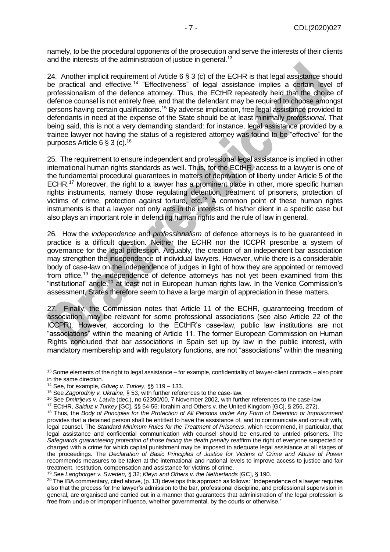namely, to be the procedural opponents of the prosecution and serve the interests of their clients and the interests of the administration of justice in general.<sup>13</sup>

24. Another implicit requirement of Article 6 § 3 (c) of the ECHR is that legal assistance should be practical and effective.<sup>14</sup> "Effectiveness" of legal assistance implies a certain level of professionalism of the defence attorney. Thus, the ECtHR repeatedly held that the choice of defence counsel is not entirely free, and that the defendant may be required to choose amongst persons having certain qualifications.<sup>15</sup> By adverse implication, free legal assistance provided to defendants in need at the expense of the State should be at least minimally *professional*. That being said, this is not a very demanding standard: for instance, legal assistance provided by a trainee lawyer not having the status of a registered attorney was found to be "effective" for the purposes Article 6 § 3 (c).<sup>16</sup>

25. The requirement to ensure independent and professional legal assistance is implied in other international human rights standards as well. Thus, for the ECtHR, access to a lawyer is one of the fundamental procedural guarantees in matters of deprivation of liberty under Article 5 of the ECHR.<sup>17</sup> Moreover, the right to a lawyer has a prominent place in other, more specific human rights instruments, namely those regulating detention, treatment of prisoners, protection of victims of crime, protection against torture, etc.<sup>18</sup> A common point of these human rights instruments is that a lawyer not only acts in the interests of his/her client in a specific case but also plays an important role in defending human rights and the rule of law in general.

26. How the *independence* and *professionalism* of defence attorneys is to be guaranteed in practice is a difficult question. Neither the ECHR nor the ICCPR prescribe a system of governance for the legal profession. Arguably, the creation of an independent bar association may strengthen the independence of individual lawyers. However, while there is a considerable body of case-law on the independence of judges in light of how they are appointed or removed from office,<sup>19</sup> the independence of defence attorneys has not yet been examined from this "institutional" angle,<sup>20</sup> at least not in European human rights law. In the Venice Commission's assessment, States therefore seem to have a large margin of appreciation in these matters.

27. Finally, the Commission notes that Article 11 of the ECHR, guaranteeing freedom of association, may be relevant for some professional associations (see also Article 22 of the ICCPR). However, according to the ECtHR's case-law, public law institutions are not "associations" within the meaning of Article 11. The former European Commission on Human Rights concluded that bar associations in Spain set up by law in the public interest, with mandatory membership and with regulatory functions, are not "associations" within the meaning

<sup>&</sup>lt;sup>13</sup> Some elements of the right to legal assistance – for example, confidentiality of lawyer-client contacts – also point in the same direction.

<sup>14</sup> See, for example, *Güveç v. Turkey*, §§ 119 – 133.

<sup>15</sup> See *Zagorodniy v. Ukraine*, § 53, with further references to the case-law.

<sup>16</sup> See *Dmitrijevs v. Latvia* (dec.), no 62390/00, 7 November 2002, with further references to the case-law.

<sup>17</sup> ECtHR, *Salduz v.Turkey* [GC], §§ 54-55; Ibrahim and Others v. the United Kingdom [GC], § 256, 272).

<sup>18</sup> Thus, the *Body of Principles for the Protection of All Persons under Any Form of Detention or Imprisonment* provides that a detained person shall be entitled to have the assistance of, and to communicate and consult with, legal counsel. The *Standard Minimum Rules for the Treatment of Prisoners*, which recommend, in particular, that legal assistance and confidential communication with counsel should be ensured to untried prisoners. The *Safeguards guaranteeing protection of those facing the death penalty* reaffirm the right of everyone suspected or charged with a crime for which capital punishment may be imposed to adequate legal assistance at all stages of the proceedings. The *Declaration of Basic Principles of Justice for Victims of Crime and Abuse of Power* recommends measures to be taken at the international and national levels to improve access to justice and fair treatment, restitution, compensation and assistance for victims of crime.

<sup>19</sup> See *Langborger v. Sweden*, § 32; *Kleyn and Others v. the Netherlands* [GC], § 190.

<sup>&</sup>lt;sup>20</sup> The IBA commentary, cited above, (p. 13) develops this approach as follows: "Independence of a lawyer requires also that the process for the lawyer's admission to the bar, professional discipline, and professional supervision in general, are organised and carried out in a manner that guarantees that administration of the legal profession is free from undue or improper influence, whether governmental, by the courts or otherwise."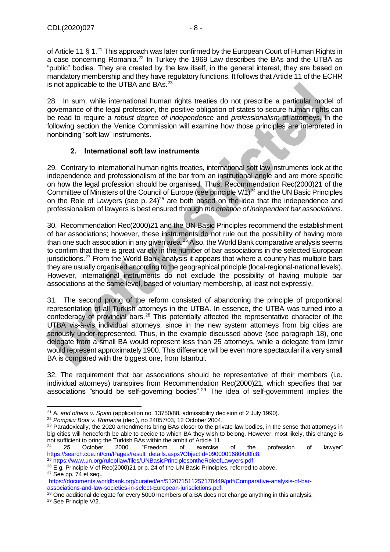of Article 11 § 1.<sup>21</sup> This approach was later confirmed by the European Court of Human Rights in a case concerning Romania.<sup>22</sup> In Turkey the 1969 Law describes the BAs and the UTBA as "public" bodies. They are created by the law itself, in the general interest, they are based on mandatory membership and they have regulatory functions. It follows that Article 11 of the ECHR is not applicable to the UTBA and BAs.<sup>23</sup>

28. In sum, while international human rights treaties do not prescribe a particular model of governance of the legal profession, the positive obligation of states to secure human rights can be read to require a *robust degree of independence* and *professionalism* of attorneys. In the following section the Venice Commission will examine how those principles are interpreted in nonbinding "soft law" instruments.

### <span id="page-7-0"></span>**2. International soft law instruments**

29. Contrary to international human rights treaties, international soft law instruments look at the independence and professionalism of the bar from an institutional angle and are more specific on how the legal profession should be organised. Thus, Recommendation Rec(2000)21 of the Committee of Ministers of the Council of Europe (see principle V/1)<sup>24</sup> and the UN Basic Principles on the Role of Lawyers (see p. 24)<sup>25</sup> are both based on the idea that the independence and professionalism of lawyers is best ensured through *the creation of independent bar associations*.

30. Recommendation Rec(2000)21 and the UN Basic Principles recommend the establishment of bar associations; however, these instruments do not rule out the possibility of having more than one such association in any given area.<sup>26</sup> Also, the World Bank comparative analysis seems to confirm that there is great variety in the number of bar associations in the selected European jurisdictions.<sup>27</sup> From the World Bank analysis it appears that where a country has multiple bars they are usually organised according to the geographical principle (local-regional-national levels). However, international instruments do not exclude the possibility of having multiple bar associations at the same level, based of voluntary membership, at least not expressly.

31. The second prong of the reform consisted of abandoning the principle of proportional representation of all Turkish attorneys in the UTBA. In essence, the UTBA was turned into a confederacy of provincial bars.<sup>28</sup> This potentially affected the representative character of the UTBA vis-à-vis individual attorneys, since in the new system attorneys from big cities are seriously under-represented. Thus, in the example discussed above (see paragraph 18), one delegate from a small BA would represent less than 25 attorneys, while a delegate from Izmir would represent approximately 1900. This difference will be even more spectacular if a very small BA is compared with the biggest one, from Istanbul.

32. The requirement that bar associations should be representative of their members (i.e. individual attorneys) transpires from Recommendation Rec(2000)21, which specifies that bar associations "should be self-governing bodies".<sup>29</sup> The idea of self-government implies the

<sup>21</sup> A*. and others v. Spain* (application no. 13750/88, admissibility decision of 2 July 1990).

<sup>22</sup> *Pompiliu Bota v. Romania* (dec.), no 24057/03, 12 October 2004.

<sup>&</sup>lt;sup>23</sup> Paradoxically, the 2020 amendments bring BAs closer to the private law bodies, in the sense that attorneys in big cities will henceforth be able to decide to which BA they wish to belong. However, most likely, this change is not sufficient to bring the Turkish BAs within the ambit of Article 11.

 $^{24}$  25 October 2000, "Freedom of exercise of the profession of lawyer" [https://search.coe.int/cm/Pages/result\\_details.aspx?ObjectId=09000016804d0fc8.](https://search.coe.int/cm/Pages/result_details.aspx?ObjectId=09000016804d0fc8)

<sup>&</sup>lt;sup>25</sup> [https://www.un.org/ruleoflaw/files/UNBasicPrinciplesontheRoleofLawyers.pdf.](https://www.un.org/ruleoflaw/files/UNBasicPrinciplesontheRoleofLawyers.pdf)

<sup>&</sup>lt;sup>26</sup> E.g. Principle V of Rec(2000)21 or p. 24 of the UN Basic Principles, referred to above. <sup>27</sup> See pp. 74 et seq.,

[https://documents.worldbank.org/curated/en/512071511257170449/pdf/Comparative-analysis-of-bar](https://documents.worldbank.org/curated/en/512071511257170449/pdf/Comparative-analysis-of-bar-associations-and-law-societies-in-select-European-jurisdictions.pdf)[associations-and-law-societies-in-select-European-jurisdictions.pdf.](https://documents.worldbank.org/curated/en/512071511257170449/pdf/Comparative-analysis-of-bar-associations-and-law-societies-in-select-European-jurisdictions.pdf)

 $^{28}$  One additional delegate for every 5000 members of a BA does not change anything in this analysis.

<sup>29</sup> See Principle V/2.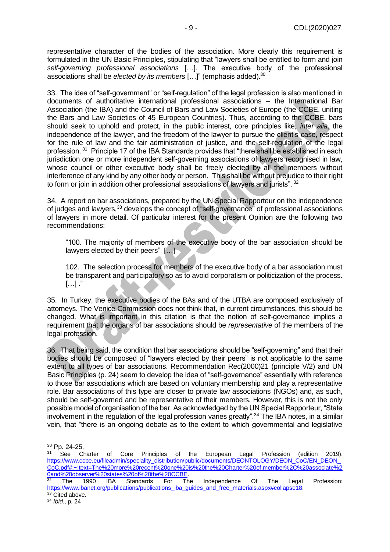representative character of the bodies of the association. More clearly this requirement is formulated in the UN Basic Principles, stipulating that "lawyers shall be entitled to form and join *self-governing professional associations* […]. The executive body of the professional associations shall be *elected by its members* […]" (emphasis added).<sup>30</sup>

33. The idea of "self-government" or "self-regulation" of the legal profession is also mentioned in documents of authoritative international professional associations – the International Bar Association (the IBA) and the Council of Bars and Law Societies of Europe (the CCBE, uniting the Bars and Law Societies of 45 European Countries). Thus, according to the CCBE, bars should seek to uphold and protect, in the public interest, core principles like, *inter alia*, the independence of the lawyer, and the freedom of the lawyer to pursue the client's case, respect for the rule of law and the fair administration of justice, and the self-regulation of the legal profession.<sup>31</sup> Principle 17 of the IBA Standards provides that "there shall be established in each jurisdiction one or more independent self-governing associations of lawyers recognised in law, whose council or other executive body shall be freely elected by all the members without interference of any kind by any other body or person. This shall be without prejudice to their right to form or join in addition other professional associations of lawyers and jurists". <sup>32</sup>

34. A report on bar associations, prepared by the UN Special Rapporteur on the independence of judges and lawyers,<sup>33</sup> develops the concept of "self-governance" of professional associations of lawyers in more detail. Of particular interest for the present Opinion are the following two recommendations:

"100. The majority of members of the executive body of the bar association should be lawyers elected by their peers" [...]

102. The selection process for members of the executive body of a bar association must be transparent and participatory so as to avoid corporatism or politicization of the process.  $[...]$  ."

35. In Turkey, the executive bodies of the BAs and of the UTBA are composed exclusively of attorneys. The Venice Commission does not think that, in current circumstances, this should be changed. What is important in this citation is that the notion of self-governance implies a requirement that the organs of bar associations should be *representative* of the members of the legal profession.

36. That being said, the condition that bar associations should be "self-governing" and that their bodies should be composed of "lawyers elected by their peers" is not applicable to the same extent to all types of bar associations. Recommendation Rec(2000)21 (principle V/2) and UN Basic Principles (p. 24) seem to develop the idea of "self-governance" essentially with reference to those bar associations which are based on voluntary membership and play a representative role. Bar associations of this type are closer to private law associations (NGOs) and, as such, should be self-governed and be representative of their members. However, this is not the only possible model of organisation of the bar. As acknowledged by the UN Special Rapporteur, "State involvement in the regulation of the legal profession varies greatly".<sup>34</sup> The IBA notes, in a similar vein, that "there is an ongoing debate as to the extent to which governmental and legislative

<sup>30</sup> Pp. 24-25.

See Charter of Core Principles of the European Legal Profession (edition 2019). [https://www.ccbe.eu/fileadmin/speciality\\_distribution/public/documents/DEONTOLOGY/DEON\\_CoC/EN\\_DEON\\_](https://www.ccbe.eu/fileadmin/speciality_distribution/public/documents/DEONTOLOGY/DEON_CoC/EN_DEON_CoC.pdf#:~:text=The%20more%20recent%20one%20is%20the%20Charter%20of,member%2C%20associate%20and%20observer%20states%20of%20the%20CCBE) [CoC.pdf#:~:text=The%20more%20recent%20one%20is%20the%20Charter%20of,member%2C%20associate%2](https://www.ccbe.eu/fileadmin/speciality_distribution/public/documents/DEONTOLOGY/DEON_CoC/EN_DEON_CoC.pdf#:~:text=The%20more%20recent%20one%20is%20the%20Charter%20of,member%2C%20associate%20and%20observer%20states%20of%20the%20CCBE) [0and%20observer%20states%20of%20the%20CCBE.](https://www.ccbe.eu/fileadmin/speciality_distribution/public/documents/DEONTOLOGY/DEON_CoC/EN_DEON_CoC.pdf#:~:text=The%20more%20recent%20one%20is%20the%20Charter%20of,member%2C%20associate%20and%20observer%20states%20of%20the%20CCBE)

<sup>32</sup> The 1990 IBA Standards For The Independence Of The Legal Profession: [https://www.ibanet.org/publications/publications\\_iba\\_guides\\_and\\_free\\_materials.aspx#collapse18.](https://www.ibanet.org/publications/publications_iba_guides_and_free_materials.aspx#collapse18) <sup>33</sup> Cited above.

<sup>34</sup> *Ibid*., p. 24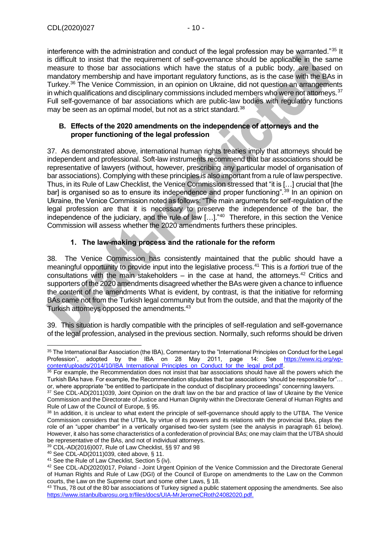interference with the administration and conduct of the legal profession may be warranted."<sup>35</sup> It is difficult to insist that the requirement of self-governance should be applicable in the same measure to those bar associations which have the status of a public body, are based on mandatory membership and have important regulatory functions, as is the case with the BAs in Turkey.<sup>36</sup> The Venice Commission, in an opinion on Ukraine, did not question an arrangements in which qualifications and disciplinary commissions included members who were not attorneys.  $37$ Full self-governance of bar associations which are public-law bodies with regulatory functions may be seen as an optimal model, but not as a strict standard.<sup>38</sup>

#### <span id="page-9-0"></span>**B. Effects of the 2020 amendments on the independence of attorneys and the proper functioning of the legal profession**

37. As demonstrated above, international human rights treaties imply that attorneys should be independent and professional. Soft-law instruments recommend that bar associations should be representative of lawyers (without, however, prescribing any particular model of organisation of bar associations). Complying with these principles is also important from a rule of law perspective. Thus, in its Rule of Law Checklist, the Venice Commission stressed that "it is […] crucial that [the bar] is organised so as to ensure its independence and proper functioning".<sup>39</sup> In an opinion on Ukraine, the Venice Commission noted as follows: "The main arguments for self-regulation of the legal profession are that it is necessary to preserve the independence of the bar, the independence of the judiciary, and the rule of law […]."<sup>40</sup> Therefore, in this section the Venice Commission will assess whether the 2020 amendments furthers these principles.

# **1. The law-making process and the rationale for the reform**

<span id="page-9-1"></span>38. The Venice Commission has consistently maintained that the public should have a meaningful opportunity to provide input into the legislative process.<sup>41</sup> This is *a fortior*i true of the consultations with the main stakeholders – in the case at hand, the attorneys.<sup>42</sup> Critics and supporters of the 2020 amendments disagreed whether the BAs were given a chance to influence the content of the amendments What is evident, by contrast, is that the initiative for reforming BAs came not from the Turkish legal community but from the outside, and that the majority of the Turkish attorneys opposed the amendments.<sup>43</sup>

39. This situation is hardly compatible with the principles of self-regulation and self-governance of the legal profession, analysed in the previous section. Normally, such reforms should be driven

<sup>&</sup>lt;sup>35</sup> The International Bar Association (the IBA), Commentary to the "International Principles on Conduct for the Legal Profession", adopted by the IBA on 28 May 2011, page 14: See [https://www.icj.org/wp](https://www.icj.org/wp-content/uploads/2014/10/IBA_International_Principles_on_Conduct_for_the_legal_prof.pdf)content/uploads/2014/10/IBA\_International\_Principles\_on\_Conduct\_for\_the\_legal\_prof.pdf.

<sup>&</sup>lt;sup>36</sup> For example, the Recommendation does not insist that bar associations should have all the powers which the Turkish BAs have. For example, the Recommendation stipulates that bar associations "should be responsible for"… or, where appropriate "be entitled to participate in the conduct of disciplinary proceedings" concerning lawyers.

<sup>&</sup>lt;sup>37</sup> See CDL-AD(2011)039, Joint Opinion on the draft law on the bar and practice of law of Ukraine by the Venice Commission and the Directorate of Justice and Human Dignity within the Directorate General of Human Rights and Rule of Law of the Council of Europe, § 95.

<sup>38</sup> In addition, it is unclear to what extent the principle of self-governance should apply to the UTBA. The Venice Commission considers that the UTBA, by virtue of its powers and its relations with the provincial BAs, plays the role of an "upper chamber" in a vertically organised two-tier system (see the analysis in paragraph 61 below). However, it also has some characteristics of a confederation of provincial BAs; one may claim that the UTBA should be representative of the BAs, and not of individual attorneys.

<sup>39</sup> CDL-AD(2016)007, Rule of Law Checklist, §§ 97 and 98

<sup>40</sup> See CDL-AD(2011)039, cited above, § 11.

<sup>41</sup> See the Rule of Law Checklist, Section 5 (iv).

<sup>42</sup> See CDL-AD(2020)017, Poland - Joint Urgent Opinion of the Venice Commission and the Directorate General of Human Rights and Rule of Law (DGI) of the Council of Europe on amendments to the Law on the Common courts, the Law on the Supreme court and some other Laws, § 18.

<sup>&</sup>lt;sup>43</sup> Thus, 78 out of the 80 bar associations of Turkey signed a public statement opposing the amendments. See also [https://www.istanbulbarosu.org.tr/files/docs/UIA-MrJeromeCRoth24082020.pdf.](https://www.istanbulbarosu.org.tr/files/docs/UIA-MrJeromeCRoth24082020.pdf)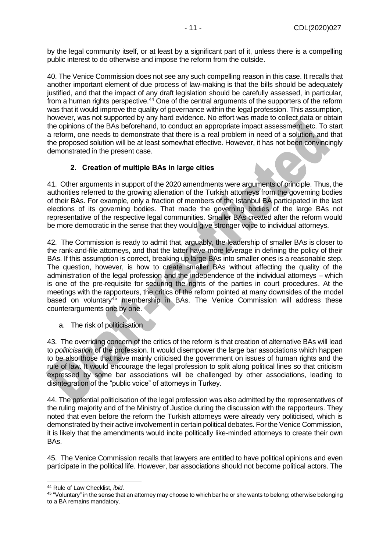by the legal community itself, or at least by a significant part of it, unless there is a compelling public interest to do otherwise and impose the reform from the outside.

40. The Venice Commission does not see any such compelling reason in this case. It recalls that another important element of due process of law-making is that the bills should be adequately justified, and that the impact of any draft legislation should be carefully assessed, in particular, from a human rights perspective.<sup>44</sup> One of the central arguments of the supporters of the reform was that it would improve the quality of governance within the legal profession. This assumption, however, was not supported by any hard evidence. No effort was made to collect data or obtain the opinions of the BAs beforehand, to conduct an appropriate impact assessment, etc. To start a reform, one needs to demonstrate that there is a real problem in need of a solution, and that the proposed solution will be at least somewhat effective. However, it has not been convincingly demonstrated in the present case.

# **2. Creation of multiple BAs in large cities**

<span id="page-10-0"></span>41. Other arguments in support of the 2020 amendments were arguments of principle. Thus, the authorities referred to the growing alienation of the Turkish attorneys from the governing bodies of their BAs. For example, only a fraction of members of the Istanbul BA participated in the last elections of its governing bodies. That made the governing bodies of the large BAs not representative of the respective legal communities. Smaller BAs created after the reform would be more democratic in the sense that they would give stronger voice to individual attorneys.

42. The Commission is ready to admit that, arguably, the leadership of smaller BAs is closer to the rank-and-file attorneys, and that the latter have more leverage in defining the policy of their BAs. If this assumption is correct, breaking up large BAs into smaller ones is a reasonable step. The question, however, is how to create smaller BAs without affecting the quality of the administration of the legal profession and the independence of the individual attorneys – which is one of the pre-requisite for securing the rights of the parties in court procedures. At the meetings with the rapporteurs, the critics of the reform pointed at many downsides of the model based on voluntary<sup>45</sup> membership in BAs. The Venice Commission will address these counterarguments one by one.

a. The risk of politicisation

43. The overriding concern of the critics of the reform is that creation of alternative BAs will lead to *politicisation* of the profession. It would disempower the large bar associations which happen to be also those that have mainly criticised the government on issues of human rights and the rule of law. It would encourage the legal profession to split along political lines so that criticism expressed by some bar associations will be challenged by other associations, leading to disintegration of the "public voice" of attorneys in Turkey.

44. The potential politicisation of the legal profession was also admitted by the representatives of the ruling majority and of the Ministry of Justice during the discussion with the rapporteurs. They noted that even before the reform the Turkish attorneys were already very politicised, which is demonstrated by their active involvement in certain political debates. For the Venice Commission, it is likely that the amendments would incite politically like-minded attorneys to create their own BAs.

45. The Venice Commission recalls that lawyers are entitled to have political opinions and even participate in the political life. However, bar associations should not become political actors. The

<sup>44</sup> Rule of Law Checklist, *ibid*.

<sup>&</sup>lt;sup>45</sup> "Voluntary" in the sense that an attorney may choose to which bar he or she wants to belong; otherwise belonging to a BA remains mandatory.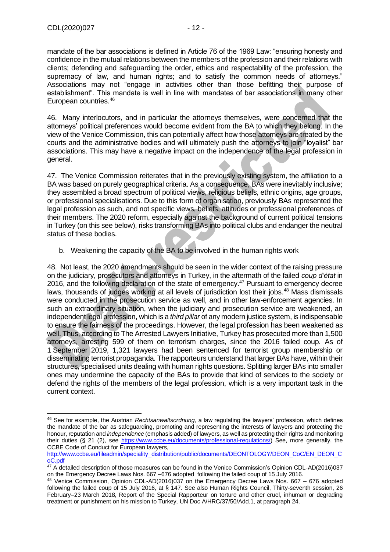mandate of the bar associations is defined in Article 76 of the 1969 Law: "ensuring honesty and confidence in the mutual relations between the members of the profession and their relations with clients; defending and safeguarding the order, ethics and respectability of the profession, the supremacy of law, and human rights; and to satisfy the common needs of attorneys." Associations may not "engage in activities other than those befitting their purpose of establishment". This mandate is well in line with mandates of bar associations in many other European countries.<sup>46</sup>

46. Many interlocutors, and in particular the attorneys themselves, were concerned that the attorneys' political preferences would become evident from the BA to which they belong. In the view of the Venice Commission, this can potentially affect how those attorneys are treated by the courts and the administrative bodies and will ultimately push the attorneys to join "loyalist" bar associations. This may have a negative impact on the independence of the legal profession in general.

47. The Venice Commission reiterates that in the previously existing system, the affiliation to a BA was based on purely geographical criteria. As a consequence, BAs were inevitably inclusive; they assembled a broad spectrum of political views, religious beliefs, ethnic origins, age groups, or professional specialisations. Due to this form of organisation, previously BAs represented the legal profession as such, and not specific views, beliefs, attitudes or professional preferences of their members. The 2020 reform, especially against the background of current political tensions in Turkey (on this see below), risks transforming BAs into political clubs and endanger the neutral status of these bodies.

b. Weakening the capacity of the BA to be involved in the human rights work

48. Not least, the 2020 amendments should be seen in the wider context of the raising pressure on the judiciary, prosecutors and attorneys in Turkey, in the aftermath of the failed *coup d'état* in 2016, and the following declaration of the state of emergency.<sup>47</sup> Pursuant to emergency decree laws, thousands of judges working at all levels of jurisdiction lost their jobs.<sup>48</sup> Mass dismissals were conducted in the prosecution service as well, and in other law-enforcement agencies. In such an extraordinary situation, when the judiciary and prosecution service are weakened, an independent legal profession, which is a *third pillar* of any modern justice system, is indispensable to ensure the fairness of the proceedings. However, the legal profession has been weakened as well. Thus, according to The Arrested Lawyers Initiative, Turkey has prosecuted more than 1,500 attorneys, arresting 599 of them on terrorism charges, since the 2016 failed coup. As of 1 September 2019, 1,321 lawyers had been sentenced for terrorist group membership or disseminating terrorist propaganda. The rapporteurs understand that larger BAs have, within their structures, specialised units dealing with human rights questions. Splitting larger BAs into smaller ones may undermine the capacity of the BAs to provide that kind of services to the society or defend the rights of the members of the legal profession, which is a very important task in the current context.

<sup>46</sup> See for example, the Austrian *Rechtsanwaltsordnung*, a law regulating the lawyers' profession, which defines the mandate of the bar as safeguarding, promoting and representing the interests of lawyers and protecting the honour, reputation and *independence* (emphasis added) of lawyers, as well as protecting their rights and monitoring their duties (§ 21 (2), see [https://www.ccbe.eu/documents/professional-regulations/\)](https://www.ccbe.eu/documents/professional-regulations/) See, more generally, the CCBE Code of Conduct for European lawyers,

[http://www.ccbe.eu/fileadmin/speciality\\_distribution/public/documents/DEONTOLOGY/DEON\\_CoC/EN\\_DEON\\_C](http://www.ccbe.eu/fileadmin/speciality_distribution/public/documents/DEONTOLOGY/DEON_CoC/EN_DEON_CoC.pdf) [oC.pdf](http://www.ccbe.eu/fileadmin/speciality_distribution/public/documents/DEONTOLOGY/DEON_CoC/EN_DEON_CoC.pdf)

<sup>&</sup>lt;sup>47</sup> A detailed description of those measures can be found in the Venice Commission's Opinion CDL-AD(2016)037 on the Emergency Decree Laws Nos. 667 –676 adopted following the failed coup of 15 July 2016.

<sup>48</sup> Venice Commission, Opinion CDL-AD(2016)037 on the Emergency Decree Laws Nos. 667 – 676 adopted following the failed coup of 15 July 2016, at § 147. See also Human Rights Council, Thirty-seventh session, 26 February–23 March 2018, Report of the Special Rapporteur on torture and other cruel, inhuman or degrading treatment or punishment on his mission to Turkey, UN Doc A/HRC/37/50/Add.1, at paragraph 24.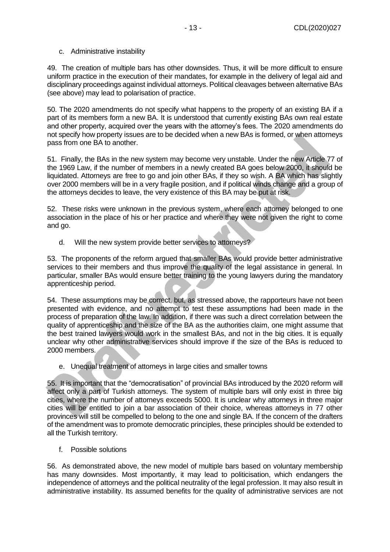49. The creation of multiple bars has other downsides. Thus, it will be more difficult to ensure uniform practice in the execution of their mandates, for example in the delivery of legal aid and disciplinary proceedings against individual attorneys. Political cleavages between alternative BAs (see above) may lead to polarisation of practice.

50. The 2020 amendments do not specify what happens to the property of an existing BA if a part of its members form a new BA. It is understood that currently existing BAs own real estate and other property, acquired over the years with the attorney's fees. The 2020 amendments do not specify how property issues are to be decided when a new BAs is formed, or when attorneys pass from one BA to another.

51. Finally, the BAs in the new system may become very unstable. Under the new Article 77 of the 1969 Law, if the number of members in a newly created BA goes below 2000, it should be liquidated. Attorneys are free to go and join other BAs, if they so wish. A BA which has slightly over 2000 members will be in a very fragile position, and if political winds change and a group of the attorneys decides to leave, the very existence of this BA may be put at risk.

52. These risks were unknown in the previous system, where each attorney belonged to one association in the place of his or her practice and where they were not given the right to come and go.

d. Will the new system provide better services to attorneys?

53. The proponents of the reform argued that smaller BAs would provide better administrative services to their members and thus improve the quality of the legal assistance in general. In particular, smaller BAs would ensure better training to the young lawyers during the mandatory apprenticeship period.

54. These assumptions may be correct, but, as stressed above, the rapporteurs have not been presented with evidence, and no attempt to test these assumptions had been made in the process of preparation of the law. In addition, if there was such a direct correlation between the quality of apprenticeship and the size of the BA as the authorities claim, one might assume that the best trained lawyers would work in the smallest BAs, and not in the big cities. It is equally unclear why other administrative services should improve if the size of the BAs is reduced to 2000 members.

e. Unequal treatment of attorneys in large cities and smaller towns

55. It is important that the "democratisation" of provincial BAs introduced by the 2020 reform will affect only a part of Turkish attorneys. The system of multiple bars will only exist in three big cities, where the number of attorneys exceeds 5000. It is unclear why attorneys in three major cities will be entitled to join a bar association of their choice, whereas attorneys in 77 other provinces will still be compelled to belong to the one and single BA. If the concern of the drafters of the amendment was to promote democratic principles, these principles should be extended to all the Turkish territory.

f. Possible solutions

56. As demonstrated above, the new model of multiple bars based on voluntary membership has many downsides. Most importantly, it may lead to politicisation, which endangers the independence of attorneys and the political neutrality of the legal profession. It may also result in administrative instability. Its assumed benefits for the quality of administrative services are not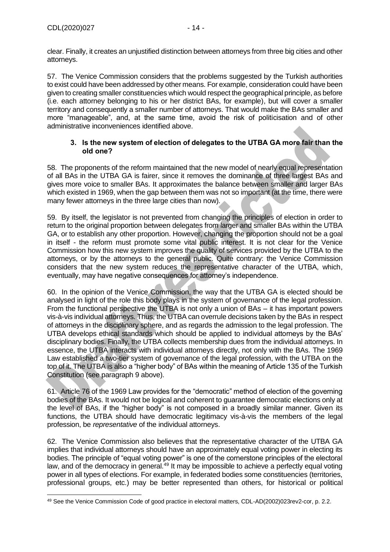clear. Finally, it creates an unjustified distinction between attorneys from three big cities and other attorneys.

57. The Venice Commission considers that the problems suggested by the Turkish authorities to exist could have been addressed by other means. For example, consideration could have been given to creating smaller constituencies which would respect the geographical principle, as before (i.e. each attorney belonging to his or her district BAs, for example), but will cover a smaller territory and consequently a smaller number of attorneys. That would make the BAs smaller and more "manageable", and, at the same time, avoid the risk of politicisation and of other administrative inconveniences identified above.

#### **3. Is the new system of election of delegates to the UTBA GA more fair than the old one?**

<span id="page-13-0"></span>58. The proponents of the reform maintained that the new model of nearly equal representation of all BAs in the UTBA GA is fairer, since it removes the dominance of three largest BAs and gives more voice to smaller BAs. It approximates the balance between smaller and larger BAs which existed in 1969, when the gap between them was not so important (at the time, there were many fewer attorneys in the three large cities than now).

59. By itself, the legislator is not prevented from changing the principles of election in order to return to the original proportion between delegates from larger and smaller BAs within the UTBA GA, or to establish any other proportion. However, changing the proportion should not be a goal in itself - the reform must promote some vital public interest. It is not clear for the Venice Commission how this new system improves the quality of services provided by the UTBA to the attorneys, or by the attorneys to the general public. Quite contrary: the Venice Commission considers that the new system reduces the representative character of the UTBA, which, eventually, may have negative consequences for attorney's independence.

60. In the opinion of the Venice Commission, the way that the UTBA GA is elected should be analysed in light of the role this body plays in the system of governance of the legal profession. From the functional perspective the UTBA is not only a union of BAs – it has important powers vis-à-vis individual attorneys. Thus, the UTBA can overrule decisions taken by the BAs in respect of attorneys in the disciplinary sphere, and as regards the admission to the legal profession. The UTBA develops ethical standards which should be applied to individual attorneys by the BAs' disciplinary bodies. Finally, the UTBA collects membership dues from the individual attorneys. In essence, the UTBA interacts with individual attorneys directly, not only with the BAs. The 1969 Law established a two-tier system of governance of the legal profession, with the UTBA on the top of it. The UTBA is also a "higher body" of BAs within the meaning of Article 135 of the Turkish Constitution (see paragraph 9 above).

61. Article 76 of the 1969 Law provides for the "democratic" method of election of the governing bodies of the BAs. It would not be logical and coherent to guarantee democratic elections only at the level of BAs, if the "higher body" is not composed in a broadly similar manner. Given its functions, the UTBA should have democratic legitimacy vis-à-vis the members of the legal profession, be *representative* of the individual attorneys.

62. The Venice Commission also believes that the representative character of the UTBA GA implies that individual attorneys should have an approximately equal voting power in electing its bodies. The principle of "equal voting power" is one of the cornerstone principles of the electoral law, and of the democracy in general.<sup>49</sup> It may be impossible to achieve a perfectly equal voting power in all types of elections. For example, in federated bodies some constituencies (territories, professional groups, etc.) may be better represented than others, for historical or political

<sup>49</sup> See the Venice Commission Code of good practice in electoral matters, CDL-AD(2002)023rev2-cor, p. 2.2.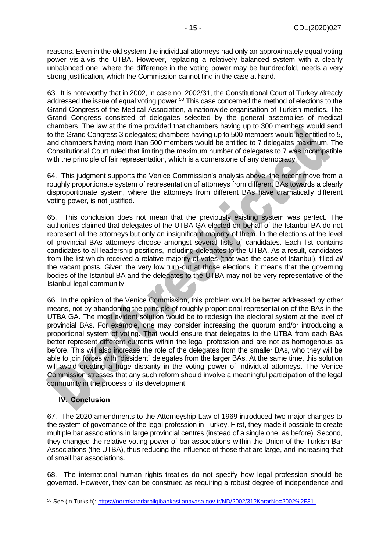reasons. Even in the old system the individual attorneys had only an approximately equal voting power vis-à-vis the UTBA. However, replacing a relatively balanced system with a clearly unbalanced one, where the difference in the voting power may be hundredfold, needs a very strong justification, which the Commission cannot find in the case at hand.

63. It is noteworthy that in 2002, in case no. 2002/31, the Constitutional Court of Turkey already addressed the issue of equal voting power.<sup>50</sup> This case concerned the method of elections to the Grand Congress of the Medical Association, a nationwide organisation of Turkish medics. The Grand Congress consisted of delegates selected by the general assemblies of medical chambers. The law at the time provided that chambers having up to 300 members would send to the Grand Congress 3 delegates; chambers having up to 500 members would be entitled to 5, and chambers having more than 500 members would be entitled to 7 delegates maximum. The Constitutional Court ruled that limiting the maximum number of delegates to 7 was incompatible with the principle of fair representation, which is a cornerstone of any democracy.

64. This judgment supports the Venice Commission's analysis above: the recent move from a roughly proportionate system of representation of attorneys from different BAs towards a clearly disproportionate system, where the attorneys from different BAs have dramatically different voting power, is not justified.

65. This conclusion does not mean that the previously existing system was perfect. The authorities claimed that delegates of the UTBA GA elected on behalf of the Istanbul BA do not represent all the attorneys but only an insignificant majority of them. In the elections at the level of provincial BAs attorneys choose amongst several lists of candidates. Each list contains candidates to all leadership positions, including delegates to the UTBA. As a result, candidates from the list which received a relative majority of votes (that was the case of Istanbul), filled *all* the vacant posts. Given the very low turn-out at those elections, it means that the governing bodies of the Istanbul BA and the delegates to the UTBA may not be very representative of the Istanbul legal community.

66. In the opinion of the Venice Commission, this problem would be better addressed by other means, not by abandoning the principle of roughly proportional representation of the BAs in the UTBA GA. The most evident solution would be to redesign the electoral system at the level of provincial BAs. For example, one may consider increasing the quorum and/or introducing a proportional system of voting. That would ensure that delegates to the UTBA from each BAs better represent different currents within the legal profession and are not as homogenous as before. This will also increase the role of the delegates from the smaller BAs, who they will be able to join forces with "dissident" delegates from the larger BAs. At the same time, this solution will avoid creating a huge disparity in the voting power of individual attorneys. The Venice Commission stresses that any such reform should involve a meaningful participation of the legal community in the process of its development.

# <span id="page-14-0"></span>**IV. Conclusion**

67. The 2020 amendments to the Attorneyship Law of 1969 introduced two major changes to the system of governance of the legal profession in Turkey. First, they made it possible to create multiple bar associations in large provincial centres (instead of a single one, as before). Second, they changed the relative voting power of bar associations within the Union of the Turkish Bar Associations (the UTBA), thus reducing the influence of those that are large, and increasing that of small bar associations.

68. The international human rights treaties do not specify how legal profession should be governed. However, they can be construed as requiring a robust degree of independence and

<sup>50</sup> See (in Turksih)[: https://normkararlarbilgibankasi.anayasa.gov.tr/ND/2002/31?KararNo=2002%2F31.](https://normkararlarbilgibankasi.anayasa.gov.tr/ND/2002/31?KararNo=2002%2F31)